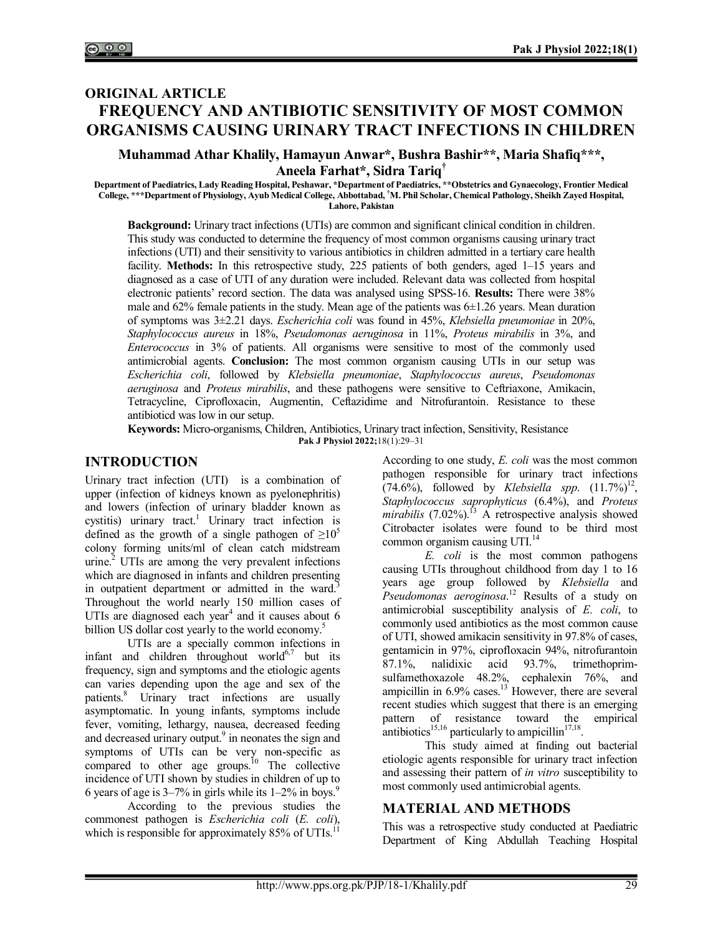# **ORIGINAL ARTICLE FREQUENCY AND ANTIBIOTIC SENSITIVITY OF MOST COMMON ORGANISMS CAUSING URINARY TRACT INFECTIONS IN CHILDREN**

#### **Muhammad Athar Khalily, Hamayun Anwar\*, Bushra Bashir\*\*, Maria Shafiq\*\*\*, Aneela Farhat\*, Sidra Tariq†**

**Department of Paediatrics, Lady Reading Hospital, Peshawar, \*Department of Paediatrics, \*\*Obstetrics and Gynaecology, Frontier Medical College, \*\*\*Department of Physiology, Ayub Medical College, Abbottabad, †M. Phil Scholar, Chemical Pathology, Sheikh Zayed Hospital, Lahore, Pakistan**

**Background:** Urinary tract infections (UTIs) are common and significant clinical condition in children. This study was conducted to determine the frequency of most common organisms causing urinary tract infections (UTI) and their sensitivity to various antibiotics in children admitted in a tertiary care health facility. **Methods:** In this retrospective study, 225 patients of both genders, aged 1–15 years and diagnosed as a case of UTI of any duration were included. Relevant data was collected from hospital electronic patients' record section. The data was analysed using SPSS-16. **Results:** There were 38% male and  $62\%$  female patients in the study. Mean age of the patients was  $6\pm1.26$  years. Mean duration of symptoms was 3±2.21 days. *Escherichia coli* was found in 45%, *Klebsiella pneumoniae* in 20%, *Staphylococcus aureus* in 18%, *Pseudomonas aeruginosa* in 11%, *Proteus mirabilis* in 3%, and *Enterococcus* in 3% of patients. All organisms were sensitive to most of the commonly used antimicrobial agents. **Conclusion:** The most common organism causing UTIs in our setup was *Escherichia coli*, followed by *Klebsiella pneumoniae*, *Staphylococcus aureus*, *Pseudomonas aeruginosa* and *Proteus mirabilis*, and these pathogens were sensitive to Ceftriaxone, Amikacin, Tetracycline, Ciprofloxacin, Augmentin, Ceftazidime and Nitrofurantoin. Resistance to these antibioticd was low in our setup.

**Keywords:** Micro-organisms, Children, Antibiotics, Urinary tract infection, Sensitivity, Resistance **Pak J Physiol 2022;**18(1):29‒31

## **INTRODUCTION**

Urinary tract infection (UTI) is a combination of upper (infection of kidneys known as pyelonephritis) and lowers (infection of urinary bladder known as cystitis) urinary tract.<sup>1</sup> Urinary tract infection is defined as the growth of a single pathogen of  $\geq 10^5$ colony forming units/ml of clean catch midstream urine.<sup>2</sup> UTIs are among the very prevalent infections which are diagnosed in infants and children presenting in outpatient department or admitted in the ward.<sup>3</sup> Throughout the world nearly 150 million cases of UTIs are diagnosed each year<sup>4</sup> and it causes about  $6$ billion US dollar cost yearly to the world economy.<sup>5</sup>

UTIs are a specially common infections in infant and children throughout world $^{6,7}$  but its frequency, sign and symptoms and the etiologic agents can varies depending upon the age and sex of the patients.<sup>8</sup> Urinary tract infections are usually asymptomatic. In young infants, symptoms include fever, vomiting, lethargy, nausea, decreased feeding and decreased urinary output.<sup>9</sup> in neonates the sign and symptoms of UTIs can be very non-specific as compared to other age groups.<sup>10</sup> The collective incidence of UTI shown by studies in children of up to 6 years of age is  $3-7\%$  in girls while its  $1-2\%$  in boys.<sup>9</sup>

According to the previous studies the commonest pathogen is *Escherichia coli* (*E. coli*), which is responsible for approximately  $85\%$  of UTIs.<sup>1</sup>

According to one study, *E. coli* was the most common pathogen responsible for urinary tract infections  $(74.6\%)$ , followed by *Klebsiella spp.*  $(11.7\%)^{12}$ , *Staphylococcus saprophyticus* (6.4%), and *Proteus*  mirabilis (7.02%).<sup>13</sup> A retrospective analysis showed Citrobacter isolates were found to be third most common organism causing UTI.<sup>14</sup>

*E. coli* is the most common pathogens causing UTIs throughout childhood from day 1 to 16 years age group followed by *Klebsiella* and *Pseudomonas aeroginosa*. <sup>12</sup> Results of a study on antimicrobial susceptibility analysis of *E. coli*, to commonly used antibiotics as the most common cause of UTI, showed amikacin sensitivity in 97.8% of cases, gentamicin in 97%, ciprofloxacin 94%, nitrofurantoin 87.1%, nalidixic acid 93.7%, trimethoprimsulfamethoxazole 48.2%, cephalexin 76%, and ampicillin in  $6.9\%$  cases.<sup>13</sup> However, there are several recent studies which suggest that there is an emerging pattern of resistance toward the empirical antibiotics<sup>15,16</sup> particularly to ampicillin<sup>17,18</sup>.

This study aimed at finding out bacterial etiologic agents responsible for urinary tract infection and assessing their pattern of *in vitro* susceptibility to most commonly used antimicrobial agents.

## **MATERIAL AND METHODS**

This was a retrospective study conducted at Paediatric Department of King Abdullah Teaching Hospital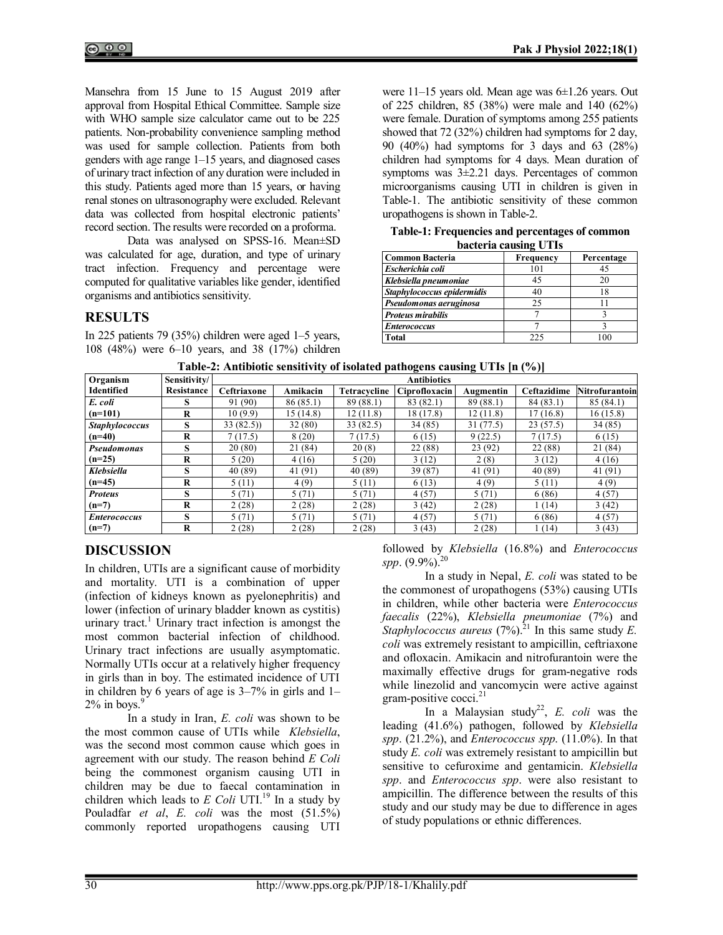Mansehra from 15 June to 15 August 2019 after approval from Hospital Ethical Committee. Sample size with WHO sample size calculator came out to be 225 patients. Non-probability convenience sampling method was used for sample collection. Patients from both genders with age range 1–15 years, and diagnosed cases of urinary tract infection of any duration were included in this study. Patients aged more than 15 years, or having renal stones on ultrasonography were excluded. Relevant data was collected from hospital electronic patients' record section. The results were recorded on a proforma.

Data was analysed on SPSS-16. Mean±SD was calculated for age, duration, and type of urinary tract infection. Frequency and percentage were computed for qualitative variables like gender, identified organisms and antibiotics sensitivity.

# **RESULTS**

In 225 patients 79 (35%) children were aged 1–5 years, 108 (48%) were 6–10 years, and 38 (17%) children were 11-15 years old. Mean age was 6±1.26 years. Out of 225 children, 85 (38%) were male and 140 (62%) were female. Duration of symptoms among 255 patients showed that 72 (32%) children had symptoms for 2 day, 90 (40%) had symptoms for 3 days and 63 (28%) children had symptoms for 4 days. Mean duration of symptoms was  $3\pm 2.21$  days. Percentages of common microorganisms causing UTI in children is given in Table-1. The antibiotic sensitivity of these common uropathogens is shown in Table-2.

**Table-1: Frequencies and percentages of common bacteria causing UTIs**

| $5400$ $\ldots$ $1400$     |           |            |  |  |  |  |  |  |
|----------------------------|-----------|------------|--|--|--|--|--|--|
| <b>Common Bacteria</b>     | Frequency | Percentage |  |  |  |  |  |  |
| Escherichia coli           | 101       |            |  |  |  |  |  |  |
| Klebsiella pneumoniae      | 45        | 20         |  |  |  |  |  |  |
| Staphylococcus epidermidis | 40        | 18         |  |  |  |  |  |  |
| Pseudomonas aeruginosa     | 25        |            |  |  |  |  |  |  |
| <b>Proteus mirabilis</b>   |           |            |  |  |  |  |  |  |
| <b>Enterococcus</b>        |           |            |  |  |  |  |  |  |
| Total                      | 225       |            |  |  |  |  |  |  |

| Organism              | Sensitivity/ | <b>Antibiotics</b> |           |              |               |           |             |                |  |
|-----------------------|--------------|--------------------|-----------|--------------|---------------|-----------|-------------|----------------|--|
| <b>Identified</b>     | Resistance   | Ceftriaxone        | Amikacin  | Tetracycline | Ciprofloxacin | Augmentin | Ceftazidime | Nitrofurantoin |  |
| E. coli               |              | 91 (90)            | 86 (85.1) | 89 (88.1)    | 83 (82.1)     | 89 (88.1) | 84 (83.1)   | 85(84.1)       |  |
| $(n=101)$             | R            | 10 (9.9)           | 15(14.8)  | 12(11.8)     | 18 (17.8)     | 12(11.8)  | 17 (16.8)   | 16 (15.8)      |  |
| <b>Staphylococcus</b> | s            | 33(82.5)           | 32 (80)   | 33 (82.5)    | 34 (85)       | 31 (77.5) | 23(57.5)    | 34(85)         |  |
| $(n=40)$              | R            | 7(17.5)            | 8(20)     | 7(17.5)      | 6(15)         | 9(22.5)   | 7(17.5)     | 6(15)          |  |
| <b>Pseudomonas</b>    | s            | 20 (80)            | 21 (84)   | 20(8)        | 22 (88)       | 23 (92)   | 22 (88)     | 21 (84)        |  |
| $(n=25)$              | R            | 5(20)              | 4(16)     | 5(20)        | 3(12)         | 2(8)      | 3(12)       | 4(16)          |  |
| <b>Klebsiella</b>     | s            | 40 (89)            | 41 (91)   | 40 (89)      | 39 (87)       | 41(91)    | 40 (89)     | 41 (91)        |  |
| $(n=45)$              | R            | 5(11)              | 4(9)      | 5(11)        | 6(13)         | 4(9)      | 5(11)       | 4(9)           |  |
| <b>Proteus</b>        | s            | 5(71)              | 5(71)     | 5(71)        | 4(57)         | 5(71)     | 6(86)       | 4(57)          |  |
| $(n=7)$               | R            | 2(28)              | 2(28)     | 2(28)        | 3(42)         | 2(28)     | (14)        | 3(42)          |  |
| <b>Enterococcus</b>   | s            | 5(71)              | 5(71)     | 5(71)        | 4(57)         | 5(71)     | 6(86)       | 4(57)          |  |
| $(n=7)$               | R            | 2(28)              | 2(28)     | 2(28)        | 3(43)         | 2(28)     | 1 (14)      | 3(43)          |  |

**Table-2: Antibiotic sensitivity of isolated pathogens causing UTIs [n (%)]**

# **DISCUSSION**

In children, UTIs are a significant cause of morbidity and mortality. UTI is a combination of upper (infection of kidneys known as pyelonephritis) and lower (infection of urinary bladder known as cystitis) urinary tract.<sup>1</sup> Urinary tract infection is amongst the most common bacterial infection of childhood. Urinary tract infections are usually asymptomatic. Normally UTIs occur at a relatively higher frequency in girls than in boy. The estimated incidence of UTI in children by 6 years of age is 3–7% in girls and 1–  $2\%$  in boys. $\frac{9}{2}$ 

In a study in Iran, *E. coli* was shown to be the most common cause of UTIs while *Klebsiella*, was the second most common cause which goes in agreement with our study. The reason behind *E Coli* being the commonest organism causing UTI in children may be due to faecal contamination in children which leads to  $E$  Coli UTI.<sup>19</sup> In a study by Pouladfar *et al*, *E. coli* was the most (51.5%) commonly reported uropathogens causing UTI

followed by *Klebsiella* (16.8%) and *Enterococcus spp*. (9.9%).<sup>20</sup>

In a study in Nepal, *E. coli* was stated to be the commonest of uropathogens (53%) causing UTIs in children, while other bacteria were *Enterococcus faecalis* (22%), *Klebsiella pneumoniae* (7%) and *Staphylococcus aureus* (7%).<sup>21</sup> In this same study *E*. *coli* was extremely resistant to ampicillin, ceftriaxone and ofloxacin. Amikacin and nitrofurantoin were the maximally effective drugs for gram-negative rods while linezolid and vancomycin were active against gram-positive cocci.<sup>21</sup>

In a Malaysian study<sup>22</sup>, E. coli was the leading (41.6%) pathogen, followed by *Klebsiella spp*. (21.2%), and *Enterococcus spp*. (11.0%). In that study *E. coli* was extremely resistant to ampicillin but sensitive to cefuroxime and gentamicin. *Klebsiella spp*. and *Enterococcus spp*. were also resistant to ampicillin. The difference between the results of this study and our study may be due to difference in ages of study populations or ethnic differences.